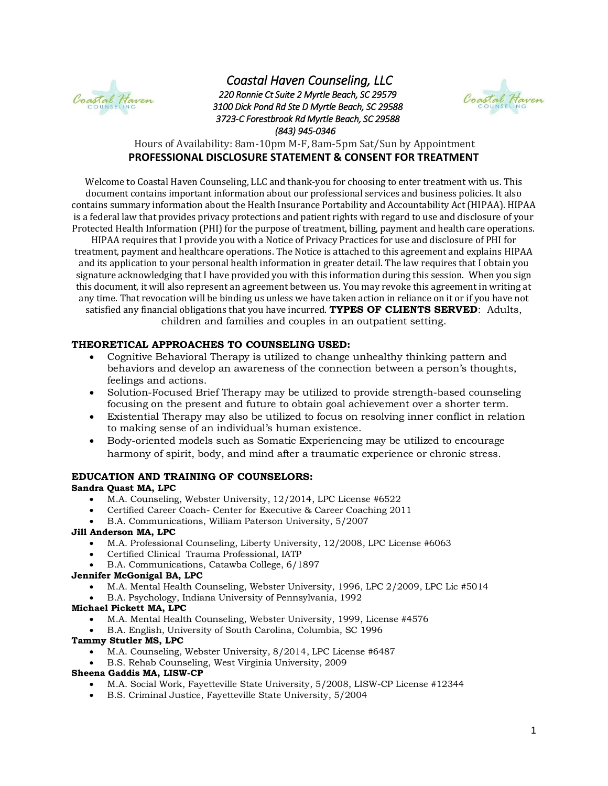

# *Coastal Haven Counseling, LLC 220 Ronnie Ct Suite 2 Myrtle Beach, SC 29579 3100 Dick Pond Rd Ste D Myrtle Beach, SC 29588 3723-C Forestbrook Rd Myrtle Beach, SC 29588 (843) 945-0346*



# Hours of Availability: 8am-10pm M-F, 8am-5pm Sat/Sun by Appointment **PROFESSIONAL DISCLOSURE STATEMENT & CONSENT FOR TREATMENT**

Welcome to Coastal Haven Counseling, LLC and thank-you for choosing to enter treatment with us. This document contains important information about our professional services and business policies. It also contains summary information about the Health Insurance Portability and Accountability Act (HIPAA). HIPAA is a federal law that provides privacy protections and patient rights with regard to use and disclosure of your Protected Health Information (PHI) for the purpose of treatment, billing, payment and health care operations.

HIPAA requires that I provide you with a Notice of Privacy Practices for use and disclosure of PHI for treatment, payment and healthcare operations. The Notice is attached to this agreement and explains HIPAA and its application to your personal health information in greater detail. The law requires that I obtain you signature acknowledging that I have provided you with this information during this session. When you sign this document, it will also represent an agreement between us. You may revoke this agreement in writing at any time. That revocation will be binding us unless we have taken action in reliance on it or if you have not satisfied any financial obligations that you have incurred. **TYPES OF CLIENTS SERVED**: Adults, children and families and couples in an outpatient setting.

## **THEORETICAL APPROACHES TO COUNSELING USED:**

- Cognitive Behavioral Therapy is utilized to change unhealthy thinking pattern and behaviors and develop an awareness of the connection between a person's thoughts, feelings and actions.
- Solution-Focused Brief Therapy may be utilized to provide strength-based counseling focusing on the present and future to obtain goal achievement over a shorter term.
- Existential Therapy may also be utilized to focus on resolving inner conflict in relation to making sense of an individual's human existence.
- Body-oriented models such as Somatic Experiencing may be utilized to encourage harmony of spirit, body, and mind after a traumatic experience or chronic stress.

## **EDUCATION AND TRAINING OF COUNSELORS:**

## **Sandra Quast MA, LPC**

- M.A. Counseling, Webster University, 12/2014, LPC License #6522
- Certified Career Coach- Center for Executive & Career Coaching 2011
- B.A. Communications, William Paterson University, 5/2007

## **Jill Anderson MA, LPC**

- M.A. Professional Counseling, Liberty University, 12/2008, LPC License #6063
- Certified Clinical Trauma Professional, IATP
- B.A. Communications, Catawba College, 6/1897

## **Jennifer McGonigal BA, LPC**

- M.A. Mental Health Counseling, Webster University, 1996, LPC 2/2009, LPC Lic #5014
- B.A. Psychology, Indiana University of Pennsylvania, 1992

## **Michael Pickett MA, LPC**

- M.A. Mental Health Counseling, Webster University, 1999, License #4576
- B.A. English, University of South Carolina, Columbia, SC 1996

## **Tammy Stutler MS, LPC**

- M.A. Counseling, Webster University, 8/2014, LPC License #6487
- B.S. Rehab Counseling, West Virginia University, 2009

## **Sheena Gaddis MA, LISW-CP**

- M.A. Social Work, Fayetteville State University, 5/2008, LISW-CP License #12344
- B.S. Criminal Justice, Fayetteville State University, 5/2004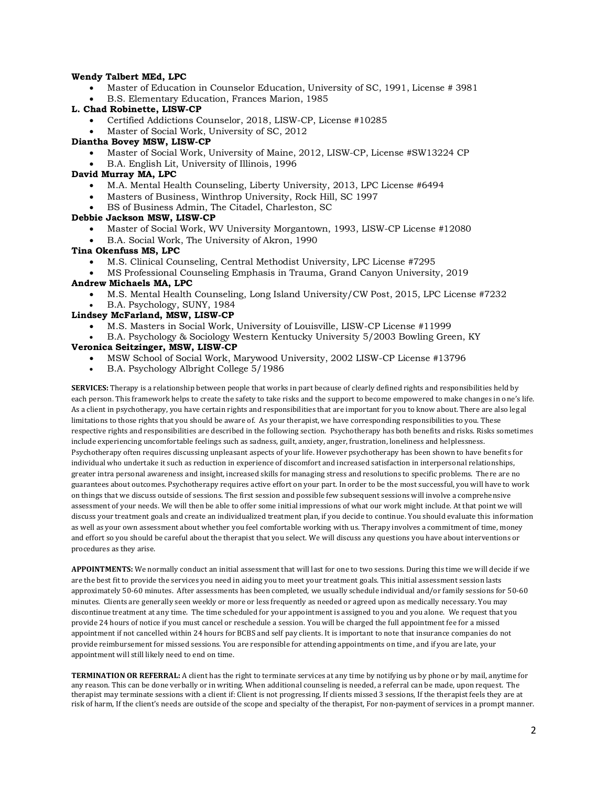### **Wendy Talbert MEd, LPC**

- Master of Education in Counselor Education, University of SC, 1991, License # 3981
- B.S. Elementary Education, Frances Marion, 1985

## **L. Chad Robinette, LISW-CP**

- Certified Addictions Counselor, 2018, LISW-CP, License #10285
- Master of Social Work, University of SC, 2012

## **Diantha Bovey MSW, LISW-CP**

- Master of Social Work, University of Maine, 2012, LISW-CP, License #SW13224 CP
- B.A. English Lit, University of Illinois, 1996

### **David Murray MA, LPC**

- M.A. Mental Health Counseling, Liberty University, 2013, LPC License #6494
- Masters of Business, Winthrop University, Rock Hill, SC 1997
- BS of Business Admin, The Citadel, Charleston, SC

### **Debbie Jackson MSW, LISW-CP**

- Master of Social Work, WV University Morgantown, 1993, LISW-CP License #12080
- B.A. Social Work, The University of Akron, 1990

### **Tina Okenfuss MS, LPC**

- M.S. Clinical Counseling, Central Methodist University, LPC License #7295
- MS Professional Counseling Emphasis in Trauma, Grand Canyon University, 2019 **Andrew Michaels MA, LPC**
	- M.S. Mental Health Counseling, Long Island University/CW Post, 2015, LPC License #7232
	- B.A. Psychology, SUNY, 1984

## **Lindsey McFarland, MSW, LISW-CP**

- M.S. Masters in Social Work, University of Louisville, LISW-CP License #11999
- B.A. Psychology & Sociology Western Kentucky University 5/2003 Bowling Green, KY **Veronica Seitzinger, MSW, LISW-CP**
	- MSW School of Social Work, Marywood University, 2002 LISW-CP License #13796
	- B.A. Psychology Albright College 5/1986

**SERVICES:** Therapy is a relationship between people that works in part because of clearly defined rights and responsibilities held by each person. This framework helps to create the safety to take risks and the support to become empowered to make changes in one's life. As a client in psychotherapy, you have certain rights and responsibilities that are important for you to know about. There are also legal limitations to those rights that you should be aware of. As your therapist, we have corresponding responsibilities to you. These respective rights and responsibilities are described in the following section. Psychotherapy has both benefits and risks. Risks sometimes include experiencing uncomfortable feelings such as sadness, guilt, anxiety, anger, frustration, loneliness and helplessness. Psychotherapy often requires discussing unpleasant aspects of your life. However psychotherapy has been shown to have benefits for individual who undertake it such as reduction in experience of discomfort and increased satisfaction in interpersonal relationships, greater intra personal awareness and insight, increased skills for managing stress and resolutions to specific problems. There are no guarantees about outcomes. Psychotherapy requires active effort on your part. In order to be the most successful, you will have to work on things that we discuss outside of sessions. The first session and possible few subsequent sessions will involve a comprehensive assessment of your needs. We will then be able to offer some initial impressions of what our work might include. At that point we will discuss your treatment goals and create an individualized treatment plan, if you decide to continue. You should evaluate this information as well as your own assessment about whether you feel comfortable working with us. Therapy involves a commitment of time, money and effort so you should be careful about the therapist that you select. We will discuss any questions you have about interventions or procedures as they arise.

**APPOINTMENTS:** We normally conduct an initial assessment that will last for one to two sessions. During this time we will decide if we are the best fit to provide the services you need in aiding you to meet your treatment goals. This initial assessment session lasts approximately 50-60 minutes. After assessments has been completed, we usually schedule individual and/or family sessions for 50-60 minutes. Clients are generally seen weekly or more or less frequently as needed or agreed upon as medically necessary. You may discontinue treatment at any time. The time scheduled for your appointment is assigned to you and you alone. We request that you provide 24 hours of notice if you must cancel or reschedule a session. You will be charged the full appointment fee for a missed appointment if not cancelled within 24 hours for BCBS and self pay clients. It is important to note that insurance companies do not provide reimbursement for missed sessions. You are responsible for attending appointments on time, and if you are late, your appointment will still likely need to end on time.

**TERMINATION OR REFERRAL:** A client has the right to terminate services at any time by notifying us by phone or by mail, anytime for any reason. This can be done verbally or in writing. When additional counseling is needed, a referral can be made, upon request. The therapist may terminate sessions with a client if: Client is not progressing, If clients missed 3 sessions, If the therapist feels they are at risk of harm, If the client's needs are outside of the scope and specialty of the therapist, For non-payment of services in a prompt manner.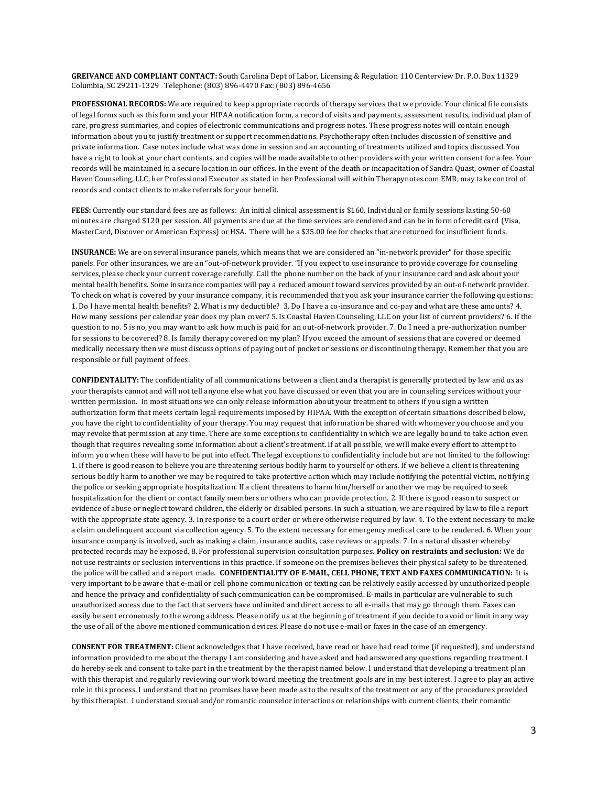**GREIVANCE AND COMPLIANT CONTACT:** South Carolina Dept of Labor, Licensing & Regulation 110 Centerview Dr. P.O. Box 11329 Columbia, SC 29211-1329 Telephone: (803) 896-4470 Fax: (803) 896-4656

**PROFESSIONAL RECORDS:** We are required to keep appropriate records of therapy services that we provide. Your clinical file consists of legal forms such as this form and your HIPAA notification form, a record of visits and payments, assessment results, individual plan of care, progress summaries, and copies of electronic communications and progress notes. These progress notes will contain enough information about you to justify treatment or support recommendations. Psychotherapy often includes discussion of sensitive and private information. Case notes include what was done in session and an accounting of treatments utilized and topics discussed. You have a right to look at your chart contents, and copies will be made available to other providers with your written consent for a fee. Your records will be maintained in a secure location in our offices. In the event of the death or incapacitation of Sandra Quast, owner of Coastal Haven Counseling, LLC, her Professional Executor as stated in her Professional will within Therapynotes.com EMR, may take control of records and contact clients to make referrals for your benefit.

**FEES:** Currently our standard fees are as follows: An initial clinical assessment is \$160. Individual or family sessions lasting 50-60 minutes are charged \$120 per session. All payments are due at the time services are rendered and can be in form of credit card (Visa, MasterCard, Discover or American Express) or HSA. There will be a \$35.00 fee for checks that are returned for insufficient funds.

**INSURANCE:** We are on several insurance panels, which means that we are considered an "in-network provider" for those specific panels. For other insurances, we are an "out-of-network provider. "If you expect to use insurance to provide coverage for counseling services, please check your current coverage carefully. Call the phone number on the back of your insurance card and ask about your mental health benefits. Some insurance companies will pay a reduced amount toward services provided by an out-of-network provider. To check on what is covered by your insurance company, it is recommended that you ask your insurance carrier the following questions: 1. Do I have mental health benefits? 2. What is my deductible? 3. Do I have a co-insurance and co-pay and what are these amounts? 4. How many sessions per calendar year does my plan cover? 5. Is Coastal Haven Counseling, LLC on your list of current providers? 6. If the question to no. 5 is no, you may want to ask how much is paid for an out-of-network provider. 7. Do I need a pre-authorization number for sessions to be covered? 8. Is family therapy covered on my plan? If you exceed the amount of sessions that are covered or deemed medically necessary then we must discuss options of paying out of pocket or sessions or discontinuing therapy. Remember that you are responsible or full payment of fees.

**CONFIDENTALITY:** The confidentiality of all communications between a client and a therapist is generally protected by law and us as your therapists cannot and will not tell anyone else what you have discussed or even that you are in counseling services without your written permission. In most situations we can only release information about your treatment to others if you sign a written authorization form that meets certain legal requirements imposed by HIPAA. With the exception of certain situations described below, you have the right to confidentiality of your therapy. You may request that information be shared with whomever you choose and you may revoke that permission at any time. There are some exceptions to confidentiality in which we are legally bound to take action even though that requires revealing some information about a client's treatment. If at all possible, we will make every effort to attempt to inform you when these will have to be put into effect. The legal exceptions to confidentiality include but are not limited to the following: 1. If there is good reason to believe you are threatening serious bodily harm to yourself or others. If we believe a client is threatening serious bodily harm to another we may be required to take protective action which may include notifying the potential victim, notifying the police or seeking appropriate hospitalization. If a client threatens to harm him/herself or another we may be required to seek hospitalization for the client or contact family members or others who can provide protection. 2. If there is good reason to suspect or evidence of abuse or neglect toward children, the elderly or disabled persons. In such a situation, we are required by law to file a report with the appropriate state agency. 3. In response to a court order or where otherwise required by law. 4. To the extent necessary to make a claim on delinquent account via collection agency. 5. To the extent necessary for emergency medical care to be rendered. 6. When your insurance company is involved, such as making a claim, insurance audits, case reviews or appeals. 7. In a natural disaster whereby protected records may be exposed. 8. For professional supervision consultation purposes. **Policy on restraints and seclusion:** We do not use restraints or seclusion interventions in this practice. If someone on the premises believes their physical safety to be threatened, the police will be called and a report made. **CONFIDENTIALITY OF E-MAIL, CELL PHONE, TEXT AND FAXES COMMUNICATION:** It is very important to be aware that e-mail or cell phone communication or texting can be relatively easily accessed by unauthorized people and hence the privacy and confidentiality of such communication can be compromised. E-mails in particular are vulnerable to such unauthorized access due to the fact that servers have unlimited and direct access to all e-mails that may go through them. Faxes can easily be sent erroneously to the wrong address. Please notify us at the beginning of treatment if you decide to avoid or limit in any way the use of all of the above mentioned communication devices. Please do not use e-mail or faxes in the case of an emergency.

**CONSENT FOR TREATMENT:** Client acknowledges that I have received, have read or have had read to me (if requested), and understand information provided to me about the therapy I am considering and have asked and had answered any questions regarding treatment. I do hereby seek and consent to take part in the treatment by the therapist named below. I understand that developing a treatment plan with this therapist and regularly reviewing our work toward meeting the treatment goals are in my best interest. I agree to play an active role in this process. I understand that no promises have been made as to the results of the treatment or any of the procedures provided by this therapist. I understand sexual and/or romantic counselor interactions or relationships with current clients, their romantic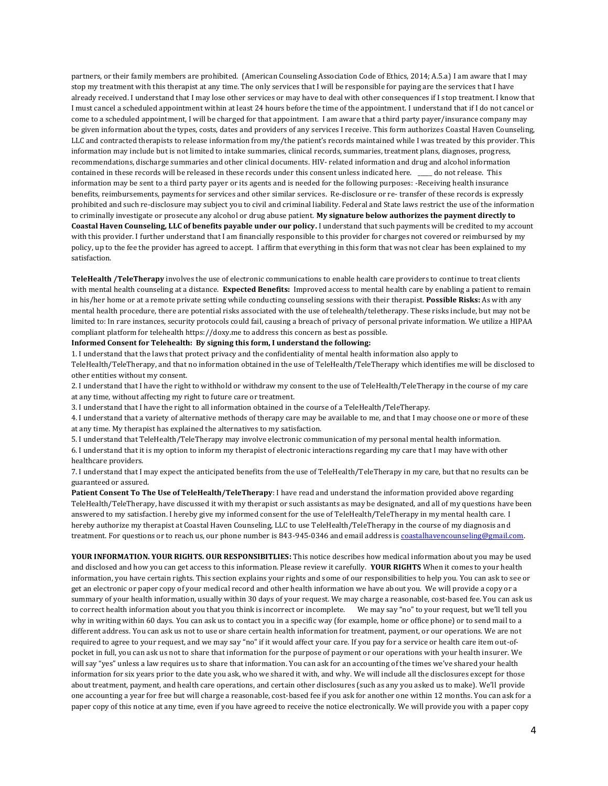partners, or their family members are prohibited. (American Counseling Association Code of Ethics, 2014; A.5.a) I am aware that I may stop my treatment with this therapist at any time. The only services that I will be responsible for paying are the services that I have already received. I understand that I may lose other services or may have to deal with other consequences if I stop treatment. I know that I must cancel a scheduled appointment within at least 24 hours before the time of the appointment. I understand that if I do not cancel or come to a scheduled appointment, I will be charged for that appointment. I am aware that a third party payer/insurance company may be given information about the types, costs, dates and providers of any services I receive. This form authorizes Coastal Haven Counseling, LLC and contracted therapists to release information from my/the patient's records maintained while I was treated by this provider. This information may include but is not limited to intake summaries, clinical records, summaries, treatment plans, diagnoses, progress, recommendations, discharge summaries and other clinical documents. HIV- related information and drug and alcohol information contained in these records will be released in these records under this consent unless indicated here. \_\_\_\_\_ do not release. This information may be sent to a third party payer or its agents and is needed for the following purposes: -Receiving health insurance benefits, reimbursements, payments for services and other similar services. Re-disclosure or re- transfer of these records is expressly prohibited and such re-disclosure may subject you to civil and criminal liability. Federal and State laws restrict the use of the information to criminally investigate or prosecute any alcohol or drug abuse patient. **My signature below authorizes the payment directly to Coastal Haven Counseling, LLC of benefits payable under our policy.** I understand that such payments will be credited to my account with this provider. I further understand that I am financially responsible to this provider for charges not covered or reimbursed by my policy, up to the fee the provider has agreed to accept. I affirm that everything in this form that was not clear has been explained to my satisfaction.

**TeleHealth /TeleTherapy** involves the use of electronic communications to enable health care providers to continue to treat clients with mental health counseling at a distance. **Expected Benefits:** Improved access to mental health care by enabling a patient to remain in his/her home or at a remote private setting while conducting counseling sessions with their therapist. **Possible Risks:** As with any mental health procedure, there are potential risks associated with the use of telehealth/teletherapy. These risks include, but may not be limited to: In rare instances, security protocols could fail, causing a breach of privacy of personal private information. We utilize a HIPAA compliant platform for telehealth https://doxy.me to address this concern as best as possible.

#### **Informed Consent for Telehealth: By signing this form, I understand the following:**

1. I understand that the laws that protect privacy and the confidentiality of mental health information also apply to

TeleHealth/TeleTherapy, and that no information obtained in the use of TeleHealth/TeleTherapy which identifies me will be disclosed to other entities without my consent.

2. I understand that I have the right to withhold or withdraw my consent to the use of TeleHealth/TeleTherapy in the course of my care at any time, without affecting my right to future care or treatment.

3. I understand that I have the right to all information obtained in the course of a TeleHealth/TeleTherapy.

4. I understand that a variety of alternative methods of therapy care may be available to me, and that I may choose one or more of these at any time. My therapist has explained the alternatives to my satisfaction.

5. I understand that TeleHealth/TeleTherapy may involve electronic communication of my personal mental health information.

6. I understand that it is my option to inform my therapist of electronic interactions regarding my care that I may have with other healthcare providers.

7. I understand that I may expect the anticipated benefits from the use of TeleHealth/TeleTherapy in my care, but that no results can be guaranteed or assured.

**Patient Consent To The Use of TeleHealth/TeleTherapy**: I have read and understand the information provided above regarding TeleHealth/TeleTherapy, have discussed it with my therapist or such assistants as may be designated, and all of my questions have been answered to my satisfaction. I hereby give my informed consent for the use of TeleHealth/TeleTherapy in my mental health care. I hereby authorize my therapist at Coastal Haven Counseling, LLC to use TeleHealth/TeleTherapy in the course of my diagnosis and treatment. For questions or to reach us, our phone number is 843-945-0346 and email address i[s coastalhavencounseling@gmail.com.](mailto:coastalhavencounseling@gmail.com)

**YOUR INFORMATION. YOUR RIGHTS. OUR RESPONSIBITLIES:** This notice describes how medical information about you may be used and disclosed and how you can get access to this information. Please review it carefully. **YOUR RIGHTS** When it comes to your health information, you have certain rights. This section explains your rights and some of our responsibilities to help you. You can ask to see or get an electronic or paper copy of your medical record and other health information we have about you. We will provide a copy or a summary of your health information, usually within 30 days of your request. We may charge a reasonable, cost-based fee. You can ask us to correct health information about you that you think is incorrect or incomplete. We may say "no" to your request, but we'll tell you why in writing within 60 days. You can ask us to contact you in a specific way (for example, home or office phone) or to send mail to a different address. You can ask us not to use or share certain health information for treatment, payment, or our operations. We are not required to agree to your request, and we may say "no" if it would affect your care. If you pay for a service or health care item out-ofpocket in full, you can ask us not to share that information for the purpose of payment or our operations with your health insurer. We will say "yes" unless a law requires us to share that information. You can ask for an accounting of the times we've shared your health information for six years prior to the date you ask, who we shared it with, and why. We will include all the disclosures except for those about treatment, payment, and health care operations, and certain other disclosures (such as any you asked us to make). We'll provide one accounting a year for free but will charge a reasonable, cost-based fee if you ask for another one within 12 months. You can ask for a paper copy of this notice at any time, even if you have agreed to receive the notice electronically. We will provide you with a paper copy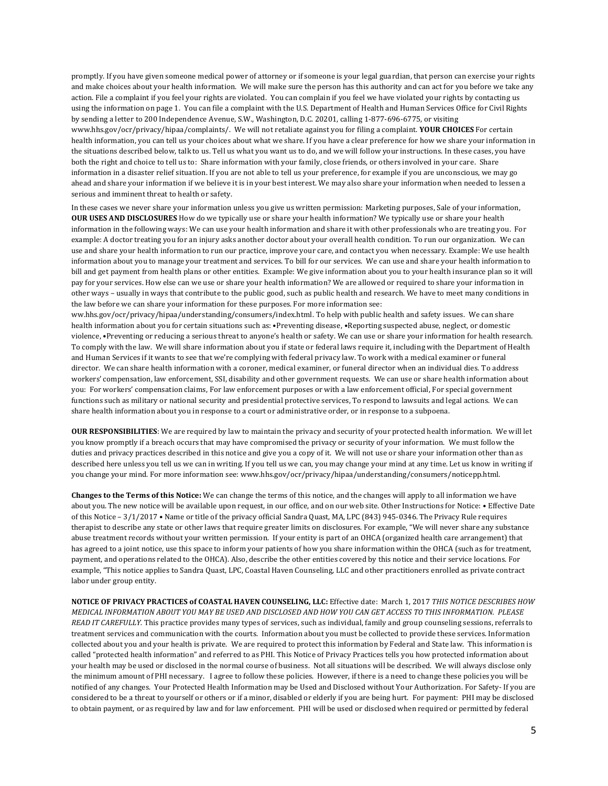promptly. If you have given someone medical power of attorney or if someone is your legal guardian, that person can exercise your rights and make choices about your health information. We will make sure the person has this authority and can act for you before we take any action. File a complaint if you feel your rights are violated. You can complain if you feel we have violated your rights by contacting us using the information on page 1. You can file a complaint with the U.S. Department of Health and Human Services Office for Civil Rights by sending a letter to 200 Independence Avenue, S.W., Washington, D.C. 20201, calling 1-877-696-6775, or visiting www.hhs.gov/ocr/privacy/hipaa/complaints/. We will not retaliate against you for filing a complaint. **YOUR CHOICES** For certain health information, you can tell us your choices about what we share. If you have a clear preference for how we share your information in the situations described below, talk to us. Tell us what you want us to do, and we will follow your instructions. In these cases, you have both the right and choice to tell us to: Share information with your family, close friends, or others involved in your care. Share information in a disaster relief situation. If you are not able to tell us your preference, for example if you are unconscious, we may go ahead and share your information if we believe it is in your best interest. We may also share your information when needed to lessen a serious and imminent threat to health or safety.

In these cases we never share your information unless you give us written permission: Marketing purposes, Sale of your information, **OUR USES AND DISCLOSURES** How do we typically use or share your health information? We typically use or share your health information in the following ways: We can use your health information and share it with other professionals who are treating you. For example: A doctor treating you for an injury asks another doctor about your overall health condition. To run our organization. We can use and share your health information to run our practice, improve your care, and contact you when necessary. Example: We use health information about you to manage your treatment and services. To bill for our services. We can use and share your health information to bill and get payment from health plans or other entities. Example: We give information about you to your health insurance plan so it will pay for your services. How else can we use or share your health information? We are allowed or required to share your information in other ways – usually in ways that contribute to the public good, such as public health and research. We have to meet many conditions in the law before we can share your information for these purposes. For more information see:

ww.hhs.gov/ocr/privacy/hipaa/understanding/consumers/index.html. To help with public health and safety issues. We can share health information about you for certain situations such as: •Preventing disease, •Reporting suspected abuse, neglect, or domestic violence, •Preventing or reducing a serious threat to anyone's health or safety. We can use or share your information for health research. To comply with the law. We will share information about you if state or federal laws require it, including with the Department of Health and Human Services if it wants to see that we're complying with federal privacy law. To work with a medical examiner or funeral director. We can share health information with a coroner, medical examiner, or funeral director when an individual dies. To address workers' compensation, law enforcement, SSI, disability and other government requests. We can use or share health information about you: For workers' compensation claims, For law enforcement purposes or with a law enforcement official, For special government functions such as military or national security and presidential protective services, To respond to lawsuits and legal actions. We can share health information about you in response to a court or administrative order, or in response to a subpoena.

**OUR RESPONSIBILITIES**: We are required by law to maintain the privacy and security of your protected health information. We will let you know promptly if a breach occurs that may have compromised the privacy or security of your information. We must follow the duties and privacy practices described in this notice and give you a copy of it. We will not use or share your information other than as described here unless you tell us we can in writing. If you tell us we can, you may change your mind at any time. Let us know in writing if you change your mind. For more information see: www.hhs.gov/ocr/privacy/hipaa/understanding/consumers/noticepp.html.

**Changes to the Terms of this Notice:** We can change the terms of this notice, and the changes will apply to all information we have about you. The new notice will be available upon request, in our office, and on our web site. Other Instructions for Notice: • Effective Date of this Notice – 3/1/2017 • Name or title of the privacy official Sandra Quast, MA, LPC (843) 945-0346. The Privacy Rule requires therapist to describe any state or other laws that require greater limits on disclosures. For example, "We will never share any substance abuse treatment records without your written permission. If your entity is part of an OHCA (organized health care arrangement) that has agreed to a joint notice, use this space to inform your patients of how you share information within the OHCA (such as for treatment, payment, and operations related to the OHCA). Also, describe the other entities covered by this notice and their service locations. For example, "This notice applies to Sandra Quast, LPC, Coastal Haven Counseling, LLC and other practitioners enrolled as private contract labor under group entity.

**NOTICE OF PRIVACY PRACTICES of COASTAL HAVEN COUNSELING, LLC:** Effective date: March 1, 2017 *THIS NOTICE DESCRIBES HOW MEDICAL INFORMATION ABOUT YOU MAY BE USED AND DISCLOSED AND HOW YOU CAN GET ACCESS TO THIS INFORMATION. PLEASE READ IT CAREFULLY.* This practice provides many types of services, such as individual, family and group counseling sessions, referrals to treatment services and communication with the courts. Information about you must be collected to provide these services. Information collected about you and your health is private. We are required to protect this information by Federal and State law. This information is called "protected health information" and referred to as PHI. This Notice of Privacy Practices tells you how protected information about your health may be used or disclosed in the normal course of business. Not all situations will be described. We will always disclose only the minimum amount of PHI necessary. I agree to follow these policies. However, if there is a need to change these policies you will be notified of any changes. Your Protected Health Information may be Used and Disclosed without Your Authorization. For Safety- If you are considered to be a threat to yourself or others or if a minor, disabled or elderly if you are being hurt. For payment: PHI may be disclosed to obtain payment, or as required by law and for law enforcement. PHI will be used or disclosed when required or permitted by federal